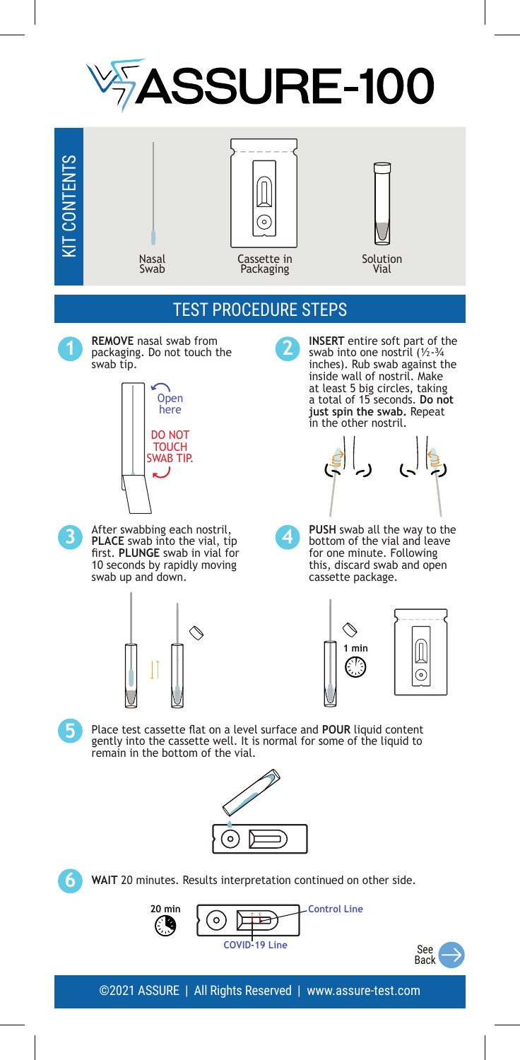